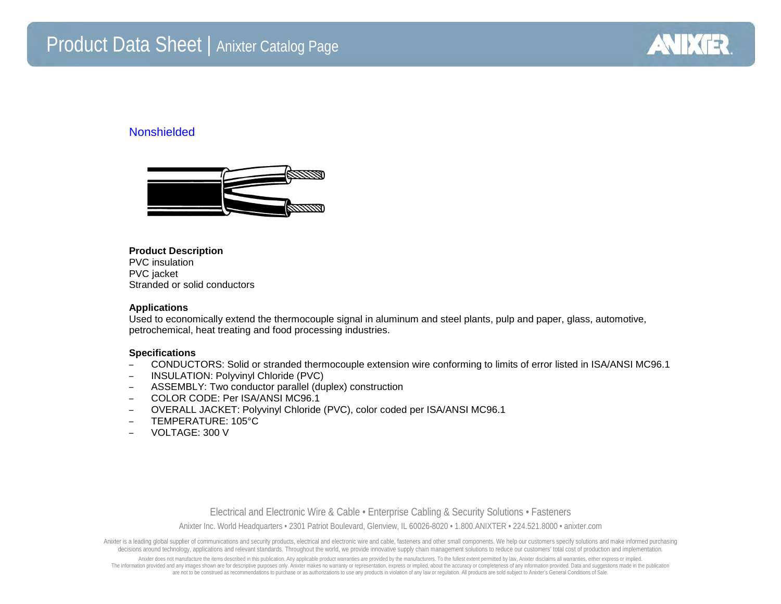# Product Data Sheet | Anixter Catalog Page



# Nonshielded



#### **Product Description**

PVC insulation PVC jacket Stranded or solid conductors

## **Applications**

Used to economically extend the thermocouple signal in aluminum and steel plants, pulp and paper, glass, automotive, petrochemical, heat treating and food processing industries.

### **Specifications**

- CONDUCTORS: Solid or stranded thermocouple extension wire conforming to limits of error listed in ISA/ANSI MC96.1
- INSULATION: Polyvinyl Chloride (PVC)
- ASSEMBLY: Two conductor parallel (duplex) construction
- COLOR CODE: Per ISA/ANSI MC96.1
- OVERALL JACKET: Polyvinyl Chloride (PVC), color coded per ISA/ANSI MC96.1
- TEMPERATURE: 105°C
- VOLTAGE: 300 V

Electrical and Electronic Wire & Cable • Enterprise Cabling & Security Solutions • Fasteners Anixter Inc. World Headquarters • 2301 Patriot Boulevard, Glenview, IL 60026-8020 • 1.800.ANIXTER • 224.521.8000 • anixter.com

Anixter is a leading global supplier of communications and security products, electrical and electronic wire and cable, fasteners and other small components. We help our customers specify solutions and make informed purcha decisions around technology, applications and relevant standards. Throughout the world, we provide innovative supply chain management solutions to reduce our customers' total cost of production and implementation.

Anixter does not manufacture the items described in this publication. Any applicable product warranties are provided by the manufacturers. To the fullest extent permitted by law, Anixter disclaims all warranties, either ex The information provided and any images shown are for descriptive purposes only. Anixter makes no warranty or representation, express or implied, about the accuracy or completeness of any information provided. Data and sug are not to be construed as recommendations to purchase or as authorizations to use any products in violation of any law or regulation. All products are sold subject to Anixter's General Conditions of Sale.